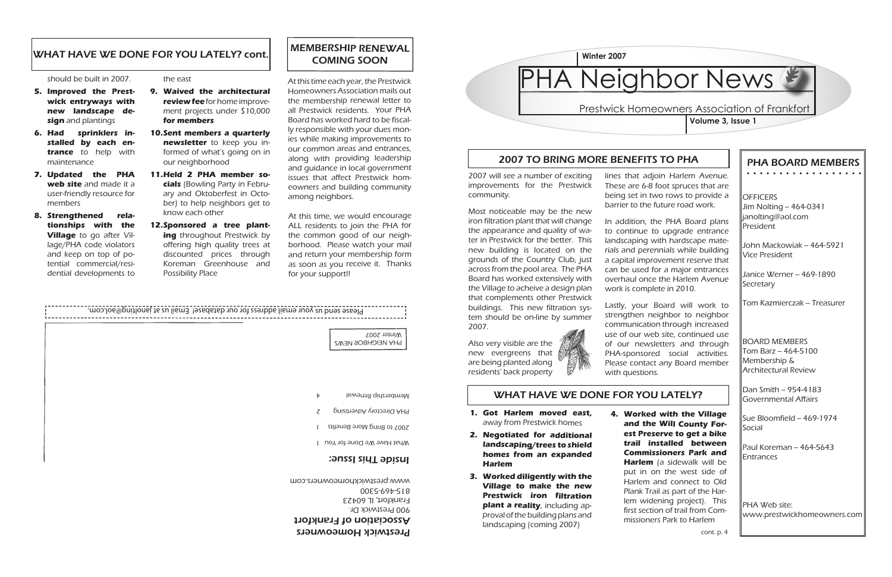#### PHA BOARD MEMBERS . . . . . . . . . . . . . . . . . .

**OFFICERS** Jim Nolting - 464-0341 janolting@aol.com President

John Mackowiak -- 464-5921 Vice President

Janice Werner -- 469-1890 **Secretary** 

Tom Kazmierczak - Treasurer

Dan Smith -- 954-4183 Governmental Affairs

Sue Bloomfield -- 469-1974 Social

Paul Koreman - 464-5643 Entrances

BOARD MEMBERS  $Tom Barz - 464-5100$ Membership & Architectural Review

PHA Web site: www.prestwickhomeowners.com

### 2007 TO BRING MORE BENEFITS TO PHA

WHAT HAVE WE DONE FOR YOU LATELY?

#### the east

#### Prestwick Homeowners Association of Frankfort **Volume 3, Issue 1**

- **Waived the architectural 9. review fee** for home improvement projects under \$10,000 **for members**
- **Sent members a quarterly 10. newsletter** to keep you informed of what's going on in our neighborhood
- **Held 2 PHA member so-11. cials** (Bowling Party in February and Oktoberfest in October) to help neighbors get to know each other
- 12. Sponsored a tree plant**ing** throughout Prestwick by offering high quality trees at discounted prices through Koreman Greenhouse and Possibility Place

#### should be built in 2007.

- **Improved the Prest-5. wick entryways with new landscape design** and plantings
- **Had sprinklers in-6. stalled by each entrance** to help with maintenance
- **Updated the PHA 7. web site** and made it a user-friendly resource for members
- **Strengthened rela-8. tionships with the Village** to go after Village/PHA code violators and keep on top of potential commercial/residential developments to



- **Got Harlem moved east, 1.** away from Prestwick homes
- **Negotiated for additional 2. landscaping/trees to shield homes from an expanded Harlem**
- **Worked diligently with the 3. Village to make the new Prestwick iron filtration plant a reality**, including approval of the building plans and landscaping (coming 2007)

**Worked with the Village 4. and the Will County Forest Preserve to get a bike trail installed between Commissioners Park and Harlem** (a sidewalk will be put in on the west side of Harlem and connect to Old Plank Trail as part of the Harlem widening project). This first section of trail from Commissioners Park to Harlem

#### Prestwick Homeowners

Association of Frankfort 900 Prestwick Dr. Frankfort, IL 60423 815-469-5300 www.prestwickhomeowners.com

#### Inside This Issue:

MEMBERSHIP RENEWAL COMING SOON

At this time each year, the Prestwick Homeowners Association mails out the membership renewal letter to all Prestwick residents. Your PHA Board has worked hard to be fiscally responsible with your dues monies while making improvements to our common areas and entrances, along with providing leadership and guidance in local government issues that affect Prestwick homeowners and building community among neighbors.



At this time, we would encourage ALL residents to join the PHA for the common good of our neighborhood. Please watch your mail and return your membership form as soon as you receive it. Thanks for your support!!

#### WHAT HAVE WE DONE FOR YOU LATELY? cont.

2007 will see a number of exciting improvements for the Prestwick community.

Most noticeable may be the new iron filtration plant that will change the appearance and quality of water in Prestwick for the better. This new building is located on the grounds of the Country Club, just across from the pool area. The PHA Board has worked extensively with the Village to acheive a design plan that complements other Prestwick buildings. This new filtration system should be on-line by summer 2007.

Also very visible are the new evergreens that are being planted along residents' back property



lines that adjoin Harlem Avenue. These are 6-8 foot spruces that are being set in two rows to provide a barrier to the future road work.

In addition, the PHA Board plans to continue to upgrade entrance landscaping with hardscape materials and perennials while building a capital improvement reserve that can be used for a major entrances overhaul once the Harlem Avenue work is complete in 2010.

Lastly, your Board will work to strengthen neighbor to neighbor communication through increased use of our web site, continued use of our newsletters and through PHA-sponsored social activities. Please contact any Board member with questions.

## PHA Neighbor News